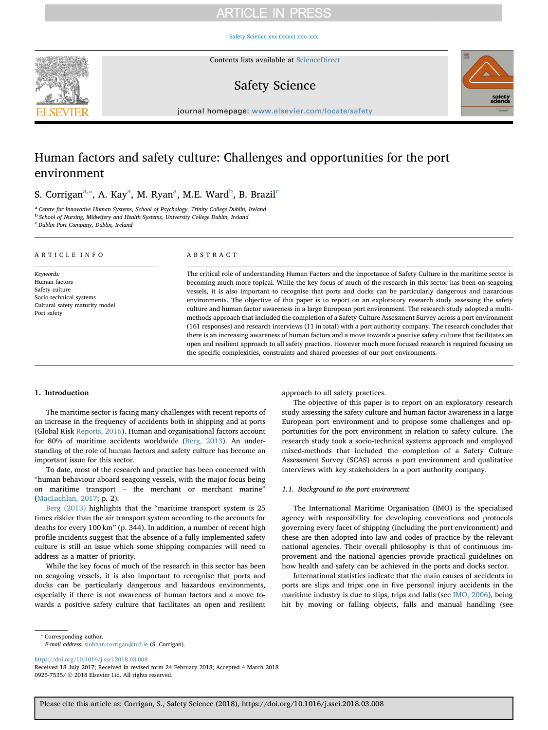## **ARTICLE IN PRESS**

[Safety Science xxx \(xxxx\) xxx–xxx](https://doi.org/10.1016/j.ssci.2018.03.008)



Contents lists available at [ScienceDirect](http://www.sciencedirect.com/science/journal/09257535)

### Safety Science



 $j<sub>i</sub>$  and  $k<sub>i</sub>$  in the parameter.com/locate/safety/safety/safety/safety/safety/safety/safety/safety/safety/safety/safety/safety/safety/safety/safety/safety/safety/safety/safety/safety/safety/safety/safety/safety/s

# Human factors and safety culture: Challenges and opportunities for the port environment

### S. Corrigan $a^a$ , A. Kay $^a$ , M. Ryan $^a$ , M.E. Ward $^b$ , B. Brazil $^c$

Centre for Innovative Human Systems, School of Psychology, Trinity College Dublin, Ireland

<sup>b</sup> School of Nursing, Midwifery and Health Systems, University College Dublin, Ireland

c Dublin Port Company, Dublin, Ireland

#### ARTICLE INFO

Keywords: Human factors Safety culture Socio-technical systems Cultural safety maturity model Port safety

#### ABSTRACT

The critical role of understanding Human Factors and the importance of Safety Culture in the maritime sector is becoming much more topical. While the key focus of much of the research in this sector has been on seagoing vessels, it is also important to recognise that ports and docks can be particularly dangerous and hazardous environments. The objective of this paper is to report on an exploratory research study assessing the safety culture and human factor awareness in a large European port environment. The research study adopted a multimethods approach that included the completion of a Safety Culture Assessment Survey across a port environment (161 responses) and research interviews (11 in total) with a port authority company. The research concludes that there is an increasing awareness of human factors and a move towards a positive safety culture that facilitates an open and resilient approach to all safety practices. However much more focused research is required focusing on the specific complexities, constraints and shared processes of our port environments.

#### 1. Introduction

The maritime sector is facing many challenges with recent reports of an increase in the frequency of accidents both in shipping and at ports (Global Risk Reports, 2016). Human and organisational factors account for 80% of maritime accidents worldwide (Berg, 2013). An understanding of the role of human factors and safety culture has become an important issue for this sector.

To date, most of the research and practice has been concerned with "human behaviour aboard seagoing vessels, with the major focus being on maritime transport – the merchant or merchant marine" (MacLachlan, 2017; p. 2).

Berg (2013) highlights that the "maritime transport system is 25 times riskier than the air transport system according to the accounts for deaths for every 100 km" (p. 344). In addition, a number of recent high profile incidents suggest that the absence of a fully implemented safety culture is still an issue which some shipping companies will need to address as a matter of priority.

While the key focus of much of the research in this sector has been on seagoing vessels, it is also important to recognise that ports and docks can be particularly dangerous and hazardous environments, especially if there is not awareness of human factors and a move towards a positive safety culture that facilitates an open and resilient approach to all safety practices.

The objective of this paper is to report on an exploratory research study assessing the safety culture and human factor awareness in a large European port environment and to propose some challenges and opportunities for the port environment in relation to safety culture. The research study took a socio-technical systems approach and employed mixed-methods that included the completion of a Safety Culture Assessment Survey (SCAS) across a port environment and qualitative interviews with key stakeholders in a port authority company.

#### 1.1. Background to the port environment

The International Maritime Organisation (IMO) is the specialised agency with responsibility for developing conventions and protocols governing every facet of shipping (including the port environment) and these are then adopted into law and codes of practice by the relevant national agencies. Their overall philosophy is that of continuous improvement and the national agencies provide practical guidelines on how health and safety can be achieved in the ports and docks sector.

International statistics indicate that the main causes of accidents in ports are slips and trips: one in five personal injury accidents in the maritime industry is due to slips, trips and falls (see IMO, 2006), being hit by moving or falling objects, falls and manual handling (see

<https://doi.org/10.1016/j.ssci.2018.03.008>

<sup>⁎</sup> Corresponding author.

E-mail address: [siobhan.corrigan@tcd.ie](mailto:siobhan.corrigan@tcd.ie) (S. Corrigan).

Received 18 July 2017; Received in revised form 24 February 2018; Accepted 4 March 2018 0925-7535/ © 2018 Elsevier Ltd. All rights reserved.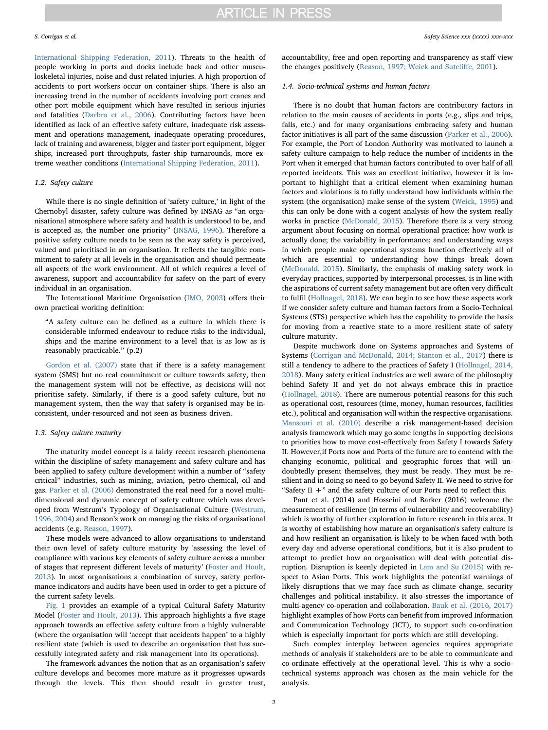International Shipping Federation, 2011). Threats to the health of people working in ports and docks include back and other musculoskeletal injuries, noise and dust related injuries. A high proportion of accidents to port workers occur on container ships. There is also an increasing trend in the number of accidents involving port cranes and other port mobile equipment which have resulted in serious injuries and fatalities (Darbra et al., 2006). Contributing factors have been identified as lack of an effective safety culture, inadequate risk assessment and operations management, inadequate operating procedures, lack of training and awareness, bigger and faster port equipment, bigger ships, increased port throughputs, faster ship turnarounds, more extreme weather conditions (International Shipping Federation, 2011).

#### 1.2. Safety culture

While there is no single definition of 'safety culture,' in light of the Chernobyl disaster, safety culture was defined by INSAG as "an organisational atmosphere where safety and health is understood to be, and is accepted as, the number one priority" (INSAG, 1996). Therefore a positive safety culture needs to be seen as the way safety is perceived, valued and prioritised in an organisation. It reflects the tangible commitment to safety at all levels in the organisation and should permeate all aspects of the work environment. All of which requires a level of awareness, support and accountability for safety on the part of every individual in an organisation.

The International Maritime Organisation (IMO, 2003) offers their own practical working definition:

"A safety culture can be defined as a culture in which there is considerable informed endeavour to reduce risks to the individual, ships and the marine environment to a level that is as low as is reasonably practicable." (p.2)

Gordon et al. (2007) state that if there is a safety management system (SMS) but no real commitment or culture towards safety, then the management system will not be effective, as decisions will not prioritise safety. Similarly, if there is a good safety culture, but no management system, then the way that safety is organised may be inconsistent, under-resourced and not seen as business driven.

#### 1.3. Safety culture maturity

The maturity model concept is a fairly recent research phenomena within the discipline of safety management and safety culture and has been applied to safety culture development within a number of "safety critical" industries, such as mining, aviation, petro-chemical, oil and gas. Parker et al. (2006) demonstrated the real need for a novel multidimensional and dynamic concept of safety culture which was developed from Westrum's Typology of Organisational Culture (Westrum, 1996, 2004) and Reason's work on managing the risks of organisational accidents (e.g. Reason, 1997).

These models were advanced to allow organisations to understand their own level of safety culture maturity by 'assessing the level of compliance with various key elements of safety culture across a number of stages that represent different levels of maturity' (Foster and Hoult, 2013). In most organisations a combination of survey, safety performance indicators and audits have been used in order to get a picture of the current safety levels.

Fig. 1 provides an example of a typical Cultural Safety Maturity Model (Foster and Hoult, 2013). This approach highlights a five stage approach towards an effective safety culture from a highly vulnerable (where the organisation will 'accept that accidents happen' to a highly resilient state (which is used to describe an organisation that has successfully integrated safety and risk management into its operations).

The framework advances the notion that as an organisation's safety culture develops and becomes more mature as it progresses upwards through the levels. This then should result in greater trust,

accountability, free and open reporting and transparency as staff view the changes positively (Reason, 1997; Weick and Sutcliffe, 2001).

#### 1.4. Socio-technical systems and human factors

There is no doubt that human factors are contributory factors in relation to the main causes of accidents in ports (e.g., slips and trips, falls, etc.) and for many organisations embracing safety and human factor initiatives is all part of the same discussion (Parker et al., 2006). For example, the Port of London Authority was motivated to launch a safety culture campaign to help reduce the number of incidents in the Port when it emerged that human factors contributed to over half of all reported incidents. This was an excellent initiative, however it is important to highlight that a critical element when examining human factors and violations is to fully understand how individuals within the system (the organisation) make sense of the system (Weick, 1995) and this can only be done with a cogent analysis of how the system really works in practice (McDonald, 2015). Therefore there is a very strong argument about focusing on normal operational practice: how work is actually done; the variability in performance; and understanding ways in which people make operational systems function effectively all of which are essential to understanding how things break down (McDonald, 2015). Similarly, the emphasis of making safety work in everyday practices, supported by interpersonal processes, is in line with the aspirations of current safety management but are often very difficult to fulfil (Hollnagel, 2018). We can begin to see how these aspects work if we consider safety culture and human factors from a Socio-Technical Systems (STS) perspective which has the capability to provide the basis for moving from a reactive state to a more resilient state of safety culture maturity.

Despite muchwork done on Systems approaches and Systems of Systems (Corrigan and McDonald, 2014; Stanton et al., 2017) there is still a tendency to adhere to the practices of Safety I (Hollnagel, 2014, 2018). Many safety critical industries are well aware of the philosophy behind Safety II and yet do not always embrace this in practice (Hollnagel, 2018). There are numerous potential reasons for this such as operational cost, resources (time, money, human resources, facilities etc.), political and organisation will within the respective organisations. Mansouri et al. (2010) describe a risk management-based decision analysis framework which may go some lengths in supporting decisions to priorities how to move cost-effectively from Safety I towards Safety II. However,if Ports now and Ports of the future are to contend with the changing economic, political and geographic forces that will undoubtedly present themselves, they must be ready. They must be resilient and in doing so need to go beyond Safety II. We need to strive for "Safety II  $+$ " and the safety culture of our Ports need to reflect this.

Pant et al. (2014) and Hosseini and Barker (2016) welcome the measurement of resilience (in terms of vulnerability and recoverability) which is worthy of further exploration in future research in this area. It is worthy of establishing how mature an organisation's safety culture is and how resilient an organisation is likely to be when faced with both every day and adverse operational conditions, but it is also prudent to attempt to predict how an organisation will deal with potential disruption. Disruption is keenly depicted in Lam and Su (2015) with respect to Asian Ports. This work highlights the potential warnings of likely disruptions that we may face such as climate change, security challenges and political instability. It also stresses the importance of multi-agency co-operation and collaboration. Bauk et al. (2016, 2017) highlight examples of how Ports can benefit from improved Information and Communication Technology (ICT), to support such co-ordination which is especially important for ports which are still developing.

Such complex interplay between agencies requires appropriate methods of analysis if stakeholders are to be able to communicate and co-ordinate effectively at the operational level. This is why a sociotechnical systems approach was chosen as the main vehicle for the analysis.